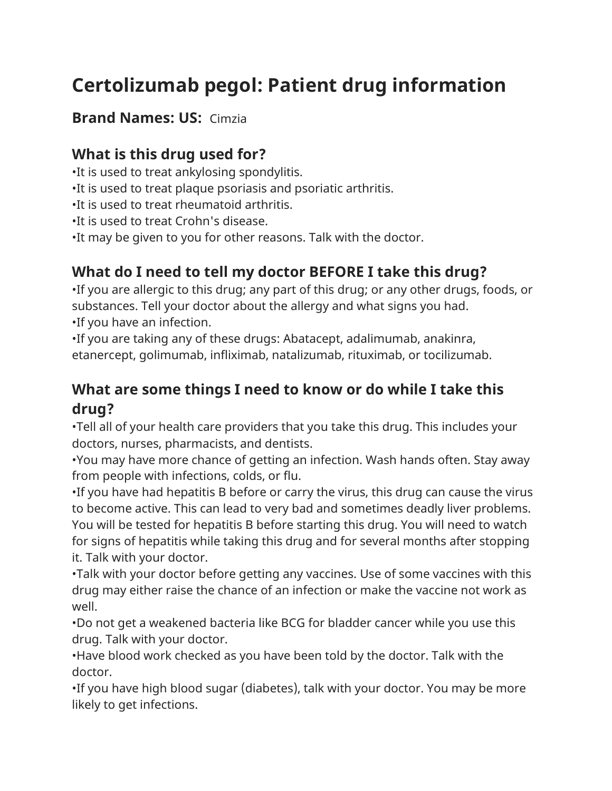# **Certolizumab pegol: Patient drug information**

#### **Brand Names: US:** Cimzia

#### **What is this drug used for?**

•It is used to treat ankylosing spondylitis.

- •It is used to treat plaque psoriasis and psoriatic arthritis.
- •It is used to treat rheumatoid arthritis.
- •It is used to treat Crohn's disease.
- •It may be given to you for other reasons. Talk with the doctor.

## **What do I need to tell my doctor BEFORE I take this drug?**

•If you are allergic to this drug; any part of this drug; or any other drugs, foods, or substances. Tell your doctor about the allergy and what signs you had. •If you have an infection.

•If you are taking any of these drugs: Abatacept, adalimumab, anakinra, etanercept, golimumab, infliximab, natalizumab, rituximab, or tocilizumab.

## **What are some things I need to know or do while I take this drug?**

•Tell all of your health care providers that you take this drug. This includes your doctors, nurses, pharmacists, and dentists.

•You may have more chance of getting an infection. Wash hands often. Stay away from people with infections, colds, or flu.

•If you have had hepatitis B before or carry the virus, this drug can cause the virus to become active. This can lead to very bad and sometimes deadly liver problems. You will be tested for hepatitis B before starting this drug. You will need to watch for signs of hepatitis while taking this drug and for several months after stopping it. Talk with your doctor.

•Talk with your doctor before getting any vaccines. Use of some vaccines with this drug may either raise the chance of an infection or make the vaccine not work as well.

•Do not get a weakened bacteria like BCG for bladder cancer while you use this drug. Talk with your doctor.

•Have blood work checked as you have been told by the doctor. Talk with the doctor.

•If you have high blood sugar (diabetes), talk with your doctor. You may be more likely to get infections.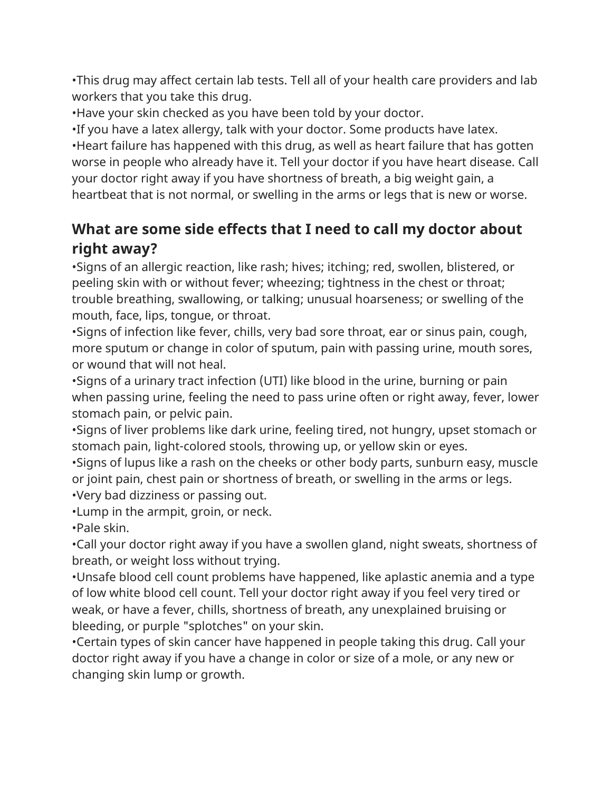•This drug may affect certain lab tests. Tell all of your health care providers and lab workers that you take this drug.

•Have your skin checked as you have been told by your doctor.

•If you have a latex allergy, talk with your doctor. Some products have latex. •Heart failure has happened with this drug, as well as heart failure that has gotten worse in people who already have it. Tell your doctor if you have heart disease. Call your doctor right away if you have shortness of breath, a big weight gain, a heartbeat that is not normal, or swelling in the arms or legs that is new or worse.

## **What are some side effects that I need to call my doctor about right away?**

•Signs of an allergic reaction, like rash; hives; itching; red, swollen, blistered, or peeling skin with or without fever; wheezing; tightness in the chest or throat; trouble breathing, swallowing, or talking; unusual hoarseness; or swelling of the mouth, face, lips, tongue, or throat.

•Signs of infection like fever, chills, very bad sore throat, ear or sinus pain, cough, more sputum or change in color of sputum, pain with passing urine, mouth sores, or wound that will not heal.

•Signs of a urinary tract infection (UTI) like blood in the urine, burning or pain when passing urine, feeling the need to pass urine often or right away, fever, lower stomach pain, or pelvic pain.

•Signs of liver problems like dark urine, feeling tired, not hungry, upset stomach or stomach pain, light-colored stools, throwing up, or yellow skin or eyes.

•Signs of lupus like a rash on the cheeks or other body parts, sunburn easy, muscle or joint pain, chest pain or shortness of breath, or swelling in the arms or legs. •Very bad dizziness or passing out.

•Lump in the armpit, groin, or neck.

•Pale skin.

•Call your doctor right away if you have a swollen gland, night sweats, shortness of breath, or weight loss without trying.

•Unsafe blood cell count problems have happened, like aplastic anemia and a type of low white blood cell count. Tell your doctor right away if you feel very tired or weak, or have a fever, chills, shortness of breath, any unexplained bruising or bleeding, or purple "splotches" on your skin.

•Certain types of skin cancer have happened in people taking this drug. Call your doctor right away if you have a change in color or size of a mole, or any new or changing skin lump or growth.